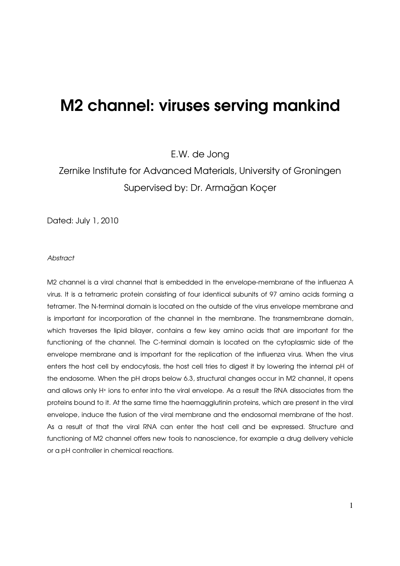# M2 channel: viruses serving mankind

E.W. de Jong

Zernike Institute for Advanced Materials, University of Groningen Supervised by: Dr. Armağan Koçer

Dated: July 1, 2010

#### Abstract

M2 channel is a viral channel that is embedded in the envelope-membrane of the influenza A virus. It is a tetrameric protein consisting of four identical subunits of 97 amino acids forming a tetramer. The N-terminal domain is located on the outside of the virus envelope membrane and is important for incorporation of the channel in the membrane. The transmembrane domain, which traverses the lipid bilayer, contains a few key amino acids that are important for the functioning of the channel. The C-terminal domain is located on the cytoplasmic side of the envelope membrane and is important for the replication of the influenza virus. When the virus enters the host cell by endocytosis, the host cell tries to digest it by lowering the internal pH of the endosome. When the pH drops below 6.3, structural changes occur in M2 channel, it opens and allows only H+ ions to enter into the viral envelope. As a result the RNA dissociates from the proteins bound to it. At the same time the haemagglutinin proteins, which are present in the viral envelope, induce the fusion of the viral membrane and the endosomal membrane of the host. As a result of that the viral RNA can enter the host cell and be expressed. Structure and functioning of M2 channel offers new tools to nanoscience, for example a drug delivery vehicle or a pH controller in chemical reactions.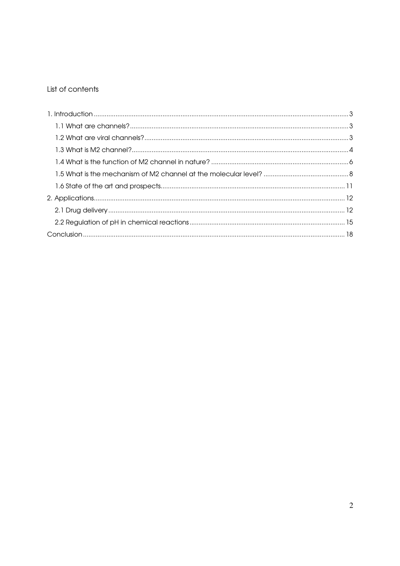# List of contents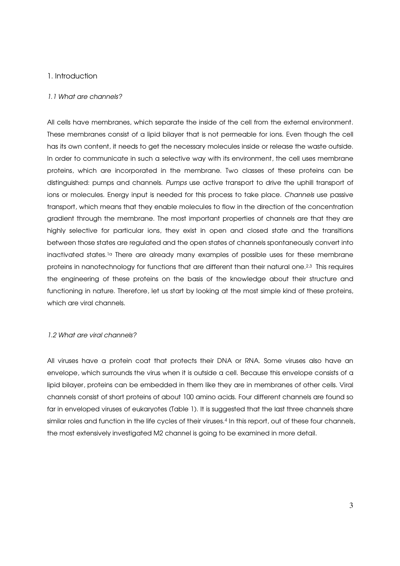## 1. Introduction

#### 1.1 What are channels?

All cells have membranes, which separate the inside of the cell from the external environment. These membranes consist of a lipid bilayer that is not permeable for ions. Even though the cell has its own content, it needs to get the necessary molecules inside or release the waste outside. In order to communicate in such a selective way with its environment, the cell uses membrane proteins, which are incorporated in the membrane. Two classes of these proteins can be distinguished: pumps and channels. Pumps use active transport to drive the uphill transport of ions or molecules. Energy input is needed for this process to take place. Channels use passive transport, which means that they enable molecules to flow in the direction of the concentration gradient through the membrane. The most important properties of channels are that they are highly selective for particular ions, they exist in open and closed state and the transitions between those states are regulated and the open states of channels spontaneously convert into inactivated states.1a There are already many examples of possible uses for these membrane proteins in nanotechnology for functions that are different than their natural one.2,3 This requires the engineering of these proteins on the basis of the knowledge about their structure and functioning in nature. Therefore, let us start by looking at the most simple kind of these proteins, which are viral channels.

#### 1.2 What are viral channels?

All viruses have a protein coat that protects their DNA or RNA. Some viruses also have an envelope, which surrounds the virus when it is outside a cell. Because this envelope consists of a lipid bilayer, proteins can be embedded in them like they are in membranes of other cells. Viral channels consist of short proteins of about 100 amino acids. Four different channels are found so far in enveloped viruses of eukaryotes (Table 1). It is suggested that the last three channels share similar roles and function in the life cycles of their viruses.<sup>4</sup> In this report, out of these four channels, the most extensively investigated M2 channel is going to be examined in more detail.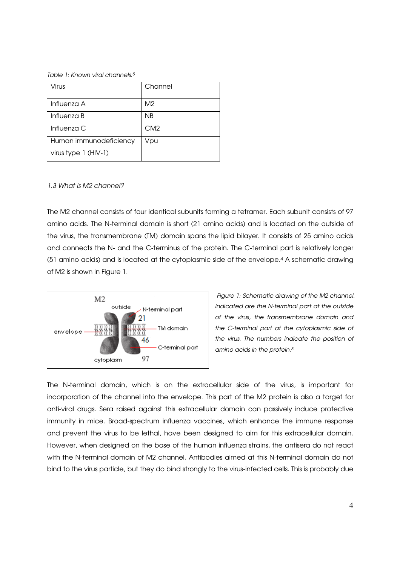Table 1: Known viral channels.<sup>5</sup>

| Virus                  | Channel        |
|------------------------|----------------|
|                        |                |
| Influenza A            | M <sub>2</sub> |
| Influenza B            | <b>NB</b>      |
| Influenza C            | CM2            |
| Human immunodeficiency | Vpu            |
| virus type $1$ (HIV-1) |                |

#### 1.3 What is M2 channel?

The M2 channel consists of four identical subunits forming a tetramer. Each subunit consists of 97 amino acids. The N-terminal domain is short (21 amino acids) and is located on the outside of the virus, the transmembrane (TM) domain spans the lipid bilayer. It consists of 25 amino acids and connects the N- and the C-terminus of the protein. The C-terminal part is relatively longer (51 amino acids) and is located at the cytoplasmic side of the envelope.4 A schematic drawing of M2 is shown in Figure 1.



Figure 1: Schematic drawing of the M2 channel. Indicated are the N-terminal part at the outside of the virus, the transmembrane domain and the C-terminal part at the cytoplasmic side of the virus. The numbers indicate the position of amino acids in the protein.<sup>5</sup>

The N-terminal domain, which is on the extracellular side of the virus, is important for incorporation of the channel into the envelope. This part of the M2 protein is also a target for anti-viral drugs. Sera raised against this extracellular domain can passively induce protective immunity in mice. Broad-spectrum influenza vaccines, which enhance the immune response and prevent the virus to be lethal, have been designed to aim for this extracellular domain. However, when designed on the base of the human influenza strains, the antisera do not react with the N-terminal domain of M2 channel. Antibodies aimed at this N-terminal domain do not bind to the virus particle, but they do bind strongly to the virus-infected cells. This is probably due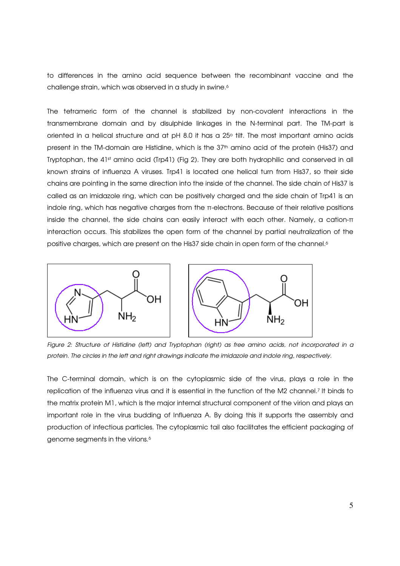to differences in the amino acid sequence between the recombinant vaccine and the challenge strain, which was observed in a study in swine.<sup>6</sup>

The tetrameric form of the channel is stabilized by non-covalent interactions in the transmembrane domain and by disulphide linkages in the N-terminal part. The TM-part is oriented in a helical structure and at pH 8.0 it has a 25° tilt. The most important amino acids present in the TM-domain are Histidine, which is the 37<sup>th</sup> amino acid of the protein (His37) and Tryptophan, the 41st amino acid (Trp41) (Fig 2). They are both hydrophilic and conserved in all known strains of influenza A viruses. Trp41 is located one helical turn from His37, so their side chains are pointing in the same direction into the inside of the channel. The side chain of His37 is called as an imidazole ring, which can be positively charged and the side chain of Trp41 is an indole ring, which has negative charges from the π-electrons. Because of their relative positions inside the channel, the side chains can easily interact with each other. Namely, a cation-π interaction occurs. This stabilizes the open form of the channel by partial neutralization of the positive charges, which are present on the His37 side chain in open form of the channel.<sup>6</sup>



Figure 2: Structure of Histidine (left) and Tryptophan (right) as free amino acids, not incorporated in a protein. The circles in the left and right drawings indicate the imidazole and indole ring, respectively.

The C-terminal domain, which is on the cytoplasmic side of the virus, plays a role in the replication of the influenza virus and it is essential in the function of the M2 channel.7 It binds to the matrix protein M1, which is the major internal structural component of the virion and plays an important role in the virus budding of Influenza A. By doing this it supports the assembly and production of infectious particles. The cytoplasmic tail also facilitates the efficient packaging of genome segments in the virions.6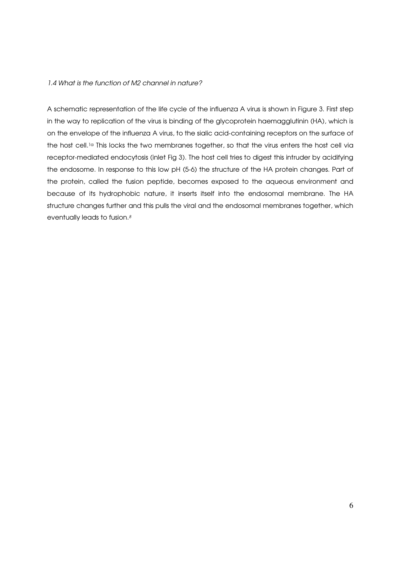#### 1.4 What is the function of M2 channel in nature?

A schematic representation of the life cycle of the influenza A virus is shown in Figure 3. First step in the way to replication of the virus is binding of the glycoprotein haemagglutinin (HA), which is on the envelope of the influenza A virus, to the sialic acid-containing receptors on the surface of the host cell.<sup>1a</sup> This locks the two membranes together, so that the virus enters the host cell via receptor-mediated endocytosis (inlet Fig 3). The host cell tries to digest this intruder by acidifying the endosome. In response to this low pH (5-6) the structure of the HA protein changes. Part of the protein, called the fusion peptide, becomes exposed to the aqueous environment and because of its hydrophobic nature, it inserts itself into the endosomal membrane. The HA structure changes further and this pulls the viral and the endosomal membranes together, which eventually leads to fusion. $8$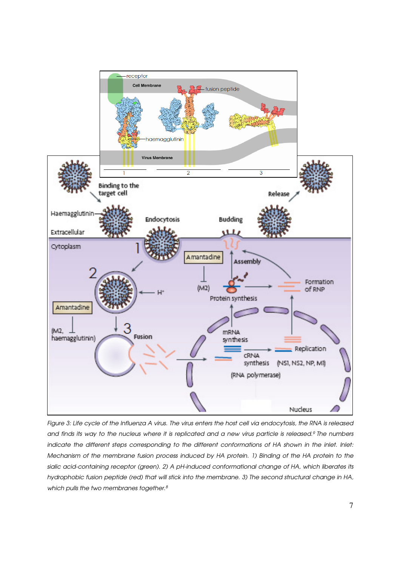

Figure 3: Life cycle of the Influenza A virus. The virus enters the host cell via endocytosis, the RNA is released and finds its way to the nucleus where it is replicated and a new virus particle is released.<sup>9</sup> The numbers indicate the different steps corresponding to the different conformations of HA shown in the inlet. Inlet: Mechanism of the membrane fusion process induced by HA protein. 1) Binding of the HA protein to the sialic acid-containing receptor (green). 2) A pH-induced conformational change of HA, which liberates its hydrophobic fusion peptide (red) that will stick into the membrane. 3) The second structural change in HA, which pulls the two membranes together.<sup>8</sup>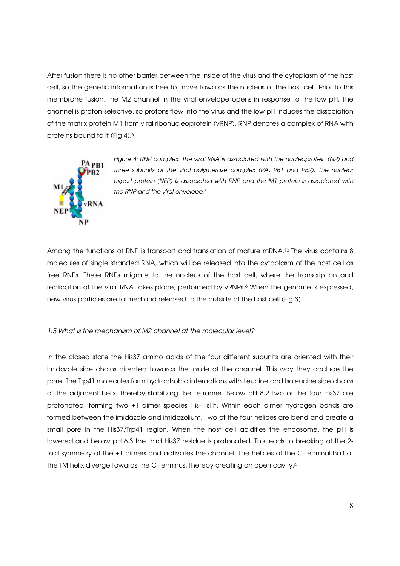After fusion there is no other barrier between the inside of the virus and the cytoplasm of the host cell, so the genetic information is free to move towards the nucleus of the host cell. Prior to this membrane fusion, the M2 channel in the viral envelope opens in response to the low pH. The channel is proton-selective, so protons flow into the virus and the low pH induces the dissociation of the matrix protein M1 from viral ribonucleoprotein (vRNP). RNP denotes a complex of RNA with proteins bound to it (Fig 4).<sup>6</sup>



Figure 4: RNP complex. The viral RNA is associated with the nucleoprotein (NP) and three subunits of the viral polymerase complex (PA, PB1 and PB2). The nuclear export protein (NEP) is associated with RNP and the M1 protein is associated with the RNP and the viral envelope.<sup>6</sup>

Among the functions of RNP is transport and translation of mature mRNA.<sup>10</sup> The virus contains 8 molecules of single stranded RNA, which will be released into the cytoplasm of the host cell as free RNPs. These RNPs migrate to the nucleus of the host cell, where the transcription and replication of the viral RNA takes place, performed by vRNPs.<sup>6</sup> When the genome is expressed, new virus particles are formed and released to the outside of the host cell (Fig 3).

#### 1.5 What is the mechanism of M2 channel at the molecular level?

In the closed state the His37 amino acids of the four different subunits are oriented with their imidazole side chains directed towards the inside of the channel. This way they occlude the pore. The Trp41 molecules form hydrophobic interactions with Leucine and Isoleucine side chains of the adjacent helix, thereby stabilizing the tetramer. Below pH 8.2 two of the four His37 are protonated, forming two +1 dimer species His-HisH+. Within each dimer hydrogen bonds are formed between the imidazole and imidazolium. Two of the four helices are bend and create a small pore in the His37/Trp41 region. When the host cell acidifies the endosome, the pH is lowered and below pH 6.3 the third His37 residue is protonated. This leads to breaking of the 2 fold symmetry of the +1 dimers and activates the channel. The helices of the C-terminal half of the TM helix diverge towards the C-terminus, thereby creating an open cavity.4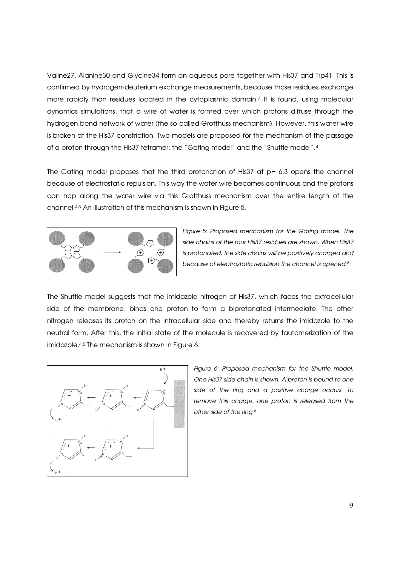Valine27, Alanine30 and Glycine34 form an aqueous pore together with His37 and Trp41. This is confirmed by hydrogen-deuterium exchange measurements, because those residues exchange more rapidly than residues located in the cytoplasmic domain.7 It is found, using molecular dynamics simulations, that a wire of water is formed over which protons diffuse through the hydrogen-bond network of water (the so-called Grotthuss mechanism). However, this water wire is broken at the His37 constriction. Two models are proposed for the mechanism of the passage of a proton through the His37 tetramer: the "Gating model" and the "Shuttle model".<sup>4</sup>

The Gating model proposes that the third protonation of His37 at pH 6.3 opens the channel because of electrostatic repulsion. This way the water wire becomes continuous and the protons can hop along the water wire via this Grotthuss mechanism over the entire length of the channel.4,5 An illustration of this mechanism is shown in Figure 5.



Figure 5: Proposed mechanism for the Gating model. The side chains of the four His37 residues are shown. When His37 is protonated, the side chains will be positively charged and because of electrostatic repulsion the channel is opened.<sup>5</sup>

The Shuttle model suggests that the imidazole nitrogen of His37, which faces the extracellular side of the membrane, binds one proton to form a biprotonated intermediate. The other nitrogen releases its proton on the intracellular side and thereby returns the imidazole to the neutral form. After this, the initial state of the molecule is recovered by tautomerization of the imidazole.<sup>4,5</sup> The mechanism is shown in Figure 6.



Figure 6: Proposed mechanism for the Shuttle model. One His37 side chain is shown. A proton is bound to one side of the ring and a positive charge occurs. To remove this charge, one proton is released from the other side of the ring.<sup>5</sup>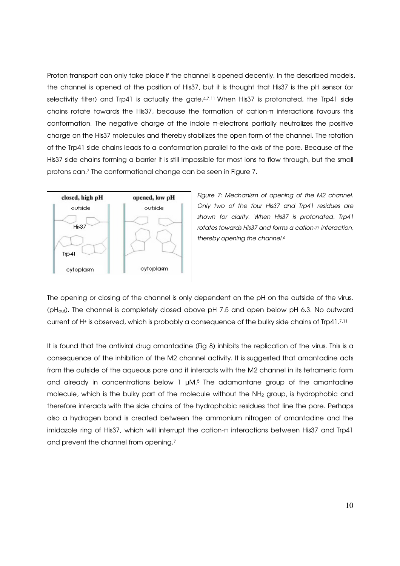Proton transport can only take place if the channel is opened decently. In the described models, the channel is opened at the position of His37, but it is thought that His37 is the pH sensor (or selectivity filter) and Trp41 is actually the gate.47,11 When His37 is protonated, the Trp41 side chains rotate towards the His37, because the formation of cation-π interactions favours this conformation. The negative charge of the indole π-electrons partially neutralizes the positive charge on the His37 molecules and thereby stabilizes the open form of the channel. The rotation of the Trp41 side chains leads to a conformation parallel to the axis of the pore. Because of the His37 side chains forming a barrier it is still impossible for most ions to flow through, but the small protons can.7 The conformational change can be seen in Figure 7.



Figure 7: Mechanism of opening of the M2 channel. Only two of the four His37 and Trp41 residues are shown for clarity. When His37 is protonated, Trp41 rotates towards His37 and forms a cation-π interaction, thereby opening the channel.<sup>6</sup>

The opening or closing of the channel is only dependent on the pH on the outside of the virus. (pHout). The channel is completely closed above pH 7.5 and open below pH 6.3. No outward current of H+ is observed, which is probably a consequence of the bulky side chains of Trp41.7,11

It is found that the antiviral drug amantadine (Fig 8) inhibits the replication of the virus. This is a consequence of the inhibition of the M2 channel activity. It is suggested that amantadine acts from the outside of the aqueous pore and it interacts with the M2 channel in its tetrameric form and already in concentrations below  $1 \mu M$ .<sup>5</sup> The adamantane group of the amantadine molecule, which is the bulky part of the molecule without the NH2 group, is hydrophobic and therefore interacts with the side chains of the hydrophobic residues that line the pore. Perhaps also a hydrogen bond is created between the ammonium nitrogen of amantadine and the imidazole ring of His37, which will interrupt the cation-π interactions between His37 and Trp41 and prevent the channel from opening.<sup>7</sup>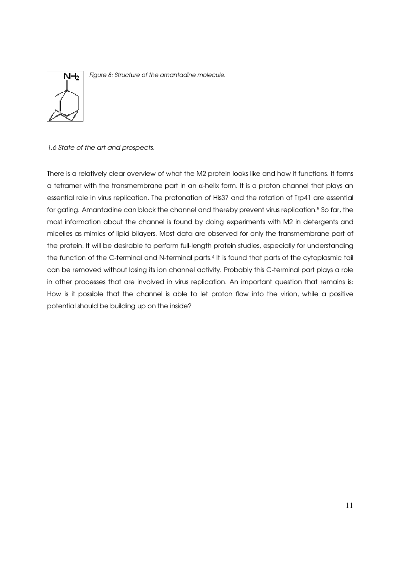

Figure 8: Structure of the amantadine molecule.

# 1.6 State of the art and prospects.

There is a relatively clear overview of what the M2 protein looks like and how it functions. It forms a tetramer with the transmembrane part in an  $a$ -helix form. It is a proton channel that plays an essential role in virus replication. The protonation of His37 and the rotation of Trp41 are essential for gating. Amantadine can block the channel and thereby prevent virus replication.<sup>5</sup> So far, the most information about the channel is found by doing experiments with M2 in detergents and micelles as mimics of lipid bilayers. Most data are observed for only the transmembrane part of the protein. It will be desirable to perform full-length protein studies, especially for understanding the function of the C-terminal and N-terminal parts. <sup>4</sup> It is found that parts of the cytoplasmic tail can be removed without losing its ion channel activity. Probably this C-terminal part plays a role in other processes that are involved in virus replication. An important question that remains is: How is it possible that the channel is able to let proton flow into the virion, while a positive potential should be building up on the inside?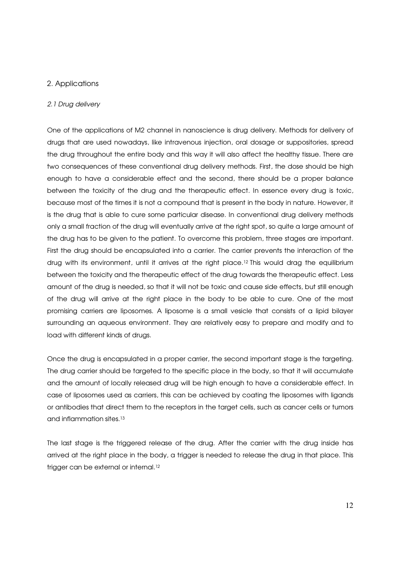# 2. Applications

#### 2.1 Drug delivery

One of the applications of M2 channel in nanoscience is drug delivery. Methods for delivery of drugs that are used nowadays, like intravenous injection, oral dosage or suppositories, spread the drug throughout the entire body and this way it will also affect the healthy tissue. There are two consequences of these conventional drug delivery methods. First, the dose should be high enough to have a considerable effect and the second, there should be a proper balance between the toxicity of the drug and the therapeutic effect. In essence every drug is toxic, because most of the times it is not a compound that is present in the body in nature. However, it is the drug that is able to cure some particular disease. In conventional drug delivery methods only a small fraction of the drug will eventually arrive at the right spot, so quite a large amount of the drug has to be given to the patient. To overcome this problem, three stages are important. First the drug should be encapsulated into a carrier. The carrier prevents the interaction of the drug with its environment, until it arrives at the right place.12 This would drag the equilibrium between the toxicity and the therapeutic effect of the drug towards the therapeutic effect. Less amount of the drug is needed, so that it will not be toxic and cause side effects, but still enough of the drug will arrive at the right place in the body to be able to cure. One of the most promising carriers are liposomes. A liposome is a small vesicle that consists of a lipid bilayer surrounding an aqueous environment. They are relatively easy to prepare and modify and to load with different kinds of drugs.

Once the drug is encapsulated in a proper carrier, the second important stage is the targeting. The drug carrier should be targeted to the specific place in the body, so that it will accumulate and the amount of locally released drug will be high enough to have a considerable effect. In case of liposomes used as carriers, this can be achieved by coating the liposomes with ligands or antibodies that direct them to the receptors in the target cells, such as cancer cells or tumors and inflammation sites.<sup>13</sup>

The last stage is the triggered release of the drug. After the carrier with the drug inside has arrived at the right place in the body, a trigger is needed to release the drug in that place. This trigger can be external or internal.<sup>12</sup>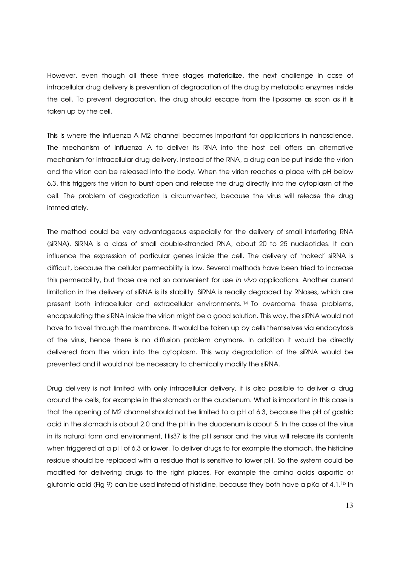However, even though all these three stages materialize, the next challenge in case of intracellular drug delivery is prevention of degradation of the drug by metabolic enzymes inside the cell. To prevent degradation, the drug should escape from the liposome as soon as it is taken up by the cell.

This is where the influenza A M2 channel becomes important for applications in nanoscience. The mechanism of influenza A to deliver its RNA into the host cell offers an alternative mechanism for intracellular drug delivery. Instead of the RNA, a drug can be put inside the virion and the virion can be released into the body. When the virion reaches a place with pH below 6.3, this triggers the virion to burst open and release the drug directly into the cytoplasm of the cell. The problem of degradation is circumvented, because the virus will release the drug immediately.

The method could be very advantageous especially for the delivery of small interfering RNA (siRNA). SiRNA is a class of small double-stranded RNA, about 20 to 25 nucleotides. It can influence the expression of particular genes inside the cell. The delivery of 'naked' siRNA is difficult, because the cellular permeability is low. Several methods have been tried to increase this permeability, but those are not so convenient for use in vivo applications. Another current limitation in the delivery of siRNA is its stability. SiRNA is readily degraded by RNases, which are present both intracellular and extracellular environments. <sup>14</sup> To overcome these problems, encapsulating the siRNA inside the virion might be a good solution. This way, the siRNA would not have to travel through the membrane. It would be taken up by cells themselves via endocytosis of the virus, hence there is no diffusion problem anymore. In addition it would be directly delivered from the virion into the cytoplasm. This way degradation of the siRNA would be prevented and it would not be necessary to chemically modify the siRNA.

Drug delivery is not limited with only intracellular delivery, it is also possible to deliver a drug around the cells, for example in the stomach or the duodenum. What is important in this case is that the opening of M2 channel should not be limited to a pH of 6.3, because the pH of gastric acid in the stomach is about 2.0 and the pH in the duodenum is about 5. In the case of the virus in its natural form and environment, His37 is the pH sensor and the virus will release its contents when triggered at a pH of 6.3 or lower. To deliver drugs to for example the stomach, the histidine residue should be replaced with a residue that is sensitive to lower pH. So the system could be modified for delivering drugs to the right places. For example the amino acids aspartic or glutamic acid (Fig 9) can be used instead of histidine, because they both have a pKa of 4.1.1b In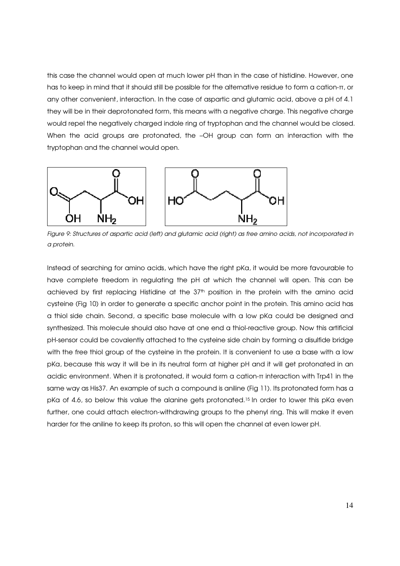this case the channel would open at much lower pH than in the case of histidine. However, one has to keep in mind that it should still be possible for the alternative residue to form a cation-π, or any other convenient, interaction. In the case of aspartic and glutamic acid, above a pH of 4.1 they will be in their deprotonated form, this means with a negative charge. This negative charge would repel the negatively charged indole ring of tryptophan and the channel would be closed. When the acid groups are protonated, the –OH group can form an interaction with the tryptophan and the channel would open.



Figure 9: Structures of aspartic acid (left) and glutamic acid (right) as free amino acids, not incorporated in a protein.

Instead of searching for amino acids, which have the right pKa, it would be more favourable to have complete freedom in regulating the pH at which the channel will open. This can be achieved by first replacing Histidine at the 37<sup>th</sup> position in the protein with the amino acid cysteine (Fig 10) in order to generate a specific anchor point in the protein. This amino acid has a thiol side chain. Second, a specific base molecule with a low pKa could be designed and synthesized. This molecule should also have at one end a thiol-reactive group. Now this artificial pH-sensor could be covalently attached to the cysteine side chain by forming a disulfide bridge with the free thiol group of the cysteine in the protein. It is convenient to use a base with a low pKa, because this way it will be in its neutral form at higher pH and it will get protonated in an acidic environment. When it is protonated, it would form a cation-π interaction with Trp41 in the same way as His37. An example of such a compound is aniline (Fig 11). Its protonated form has a pKa of 4.6, so below this value the alanine gets protonated.<sup>15</sup> In order to lower this pKa even further, one could attach electron-withdrawing groups to the phenyl ring. This will make it even harder for the aniline to keep its proton, so this will open the channel at even lower pH.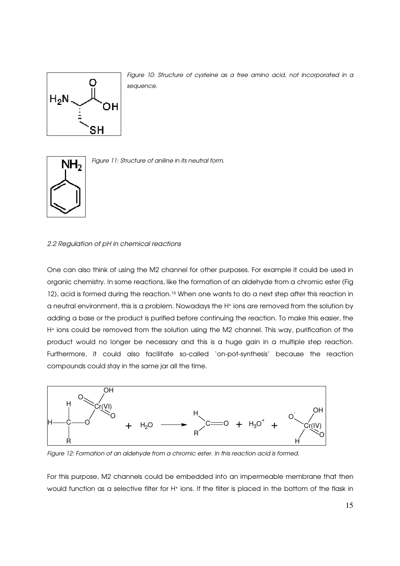

Figure 10: Structure of cysteine as a free amino acid, not incorporated in a sequence.



Figure 11: Structure of aniline in its neutral form.

### 2.2 Regulation of pH in chemical reactions

One can also think of using the M2 channel for other purposes. For example it could be used in organic chemistry. In some reactions, like the formation of an aldehyde from a chromic ester (Fig 12), acid is formed during the reaction.<sup>16</sup> When one wants to do a next step after this reaction in a neutral environment, this is a problem. Nowadays the H+ ions are removed from the solution by adding a base or the product is purified before continuing the reaction. To make this easier, the H+ ions could be removed from the solution using the M2 channel. This way, purification of the product would no longer be necessary and this is a huge gain in a multiple step reaction. Furthermore, it could also facilitate so-called 'on-pot-synthesis' because the reaction compounds could stay in the same jar all the time.



Figure 12: Formation of an aldehyde from a chromic ester. In this reaction acid is formed.

For this purpose, M2 channels could be embedded into an impermeable membrane that then would function as a selective filter for H+ ions. If the filter is placed in the bottom of the flask in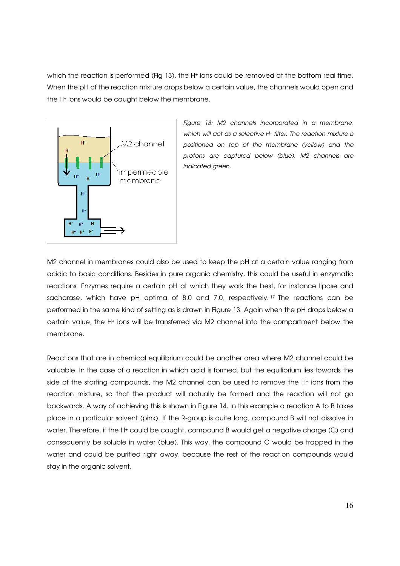which the reaction is performed (Fig 13), the H<sup>+</sup> ions could be removed at the bottom real-time. When the pH of the reaction mixture drops below a certain value, the channels would open and the H+ ions would be caught below the membrane.



Figure 13: M2 channels incorporated in a membrane, which will act as a selective H<sup>+</sup> filter. The reaction mixture is positioned on top of the membrane (yellow) and the protons are captured below (blue). M2 channels are indicated green.

M2 channel in membranes could also be used to keep the pH at a certain value ranging from acidic to basic conditions. Besides in pure organic chemistry, this could be useful in enzymatic reactions. Enzymes require a certain pH at which they work the best, for instance lipase and sacharase, which have pH optima of 8.0 and 7.0, respectively. <sup>17</sup> The reactions can be performed in the same kind of setting as is drawn in Figure 13. Again when the pH drops below a certain value, the H+ ions will be transferred via M2 channel into the compartment below the membrane.

Reactions that are in chemical equilibrium could be another area where M2 channel could be valuable. In the case of a reaction in which acid is formed, but the equilibrium lies towards the side of the starting compounds, the M2 channel can be used to remove the H+ ions from the reaction mixture, so that the product will actually be formed and the reaction will not go backwards. A way of achieving this is shown in Figure 14. In this example a reaction A to B takes place in a particular solvent (pink). If the R-group is quite long, compound B will not dissolve in water. Therefore, if the H+ could be caught, compound B would get a negative charge (C) and consequently be soluble in water (blue). This way, the compound C would be trapped in the water and could be purified right away, because the rest of the reaction compounds would stay in the organic solvent.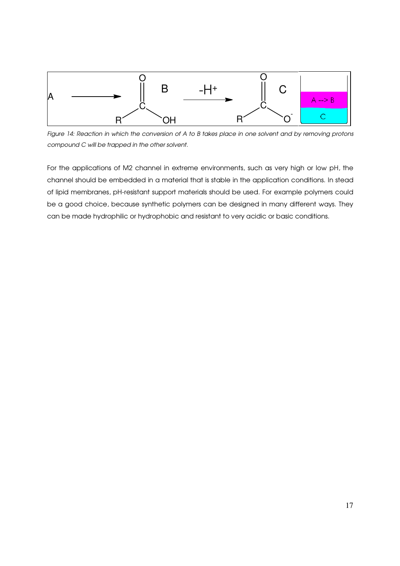

Figure 14: Reaction in which the conversion of A to B takes place in one solvent and by removing protons compound C will be trapped in the other solvent.

For the applications of M2 channel in extreme environments, such as very high or low pH, the channel should be embedded in a material that is stable in the application conditions. In stead of lipid membranes, pH-resistant support materials should be used. For example polymers could be a good choice, because synthetic polymers can be designed in many different ways. They can be made hydrophilic or hydrophobic and resistant to very acidic or basic conditions.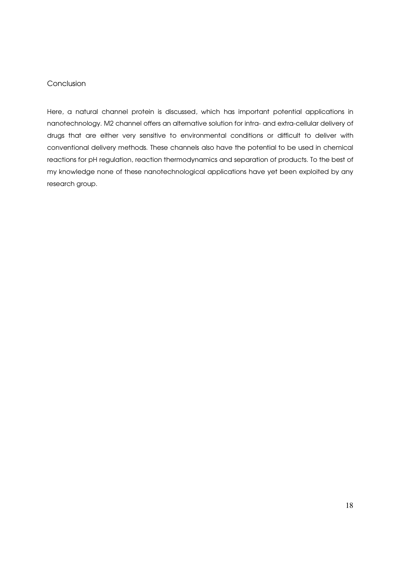# **Conclusion**

Here, a natural channel protein is discussed, which has important potential applications in nanotechnology. M2 channel offers an alternative solution for intra- and extra-cellular delivery of drugs that are either very sensitive to environmental conditions or difficult to deliver with conventional delivery methods. These channels also have the potential to be used in chemical reactions for pH regulation, reaction thermodynamics and separation of products. To the best of my knowledge none of these nanotechnological applications have yet been exploited by any research group.